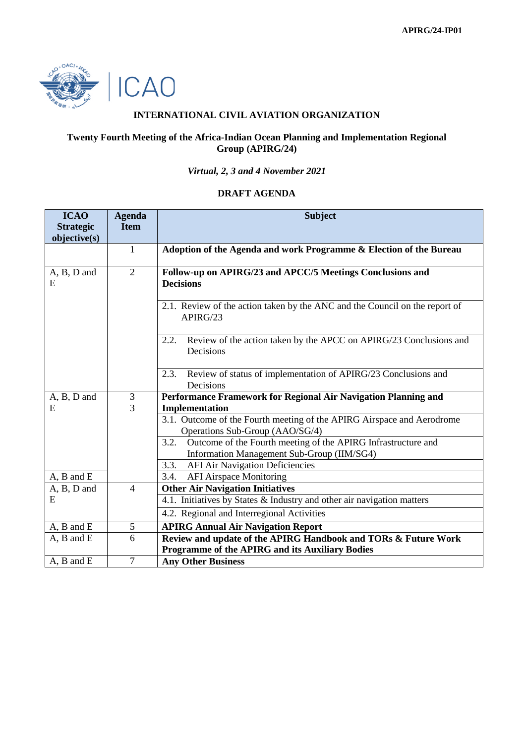

# **INTERNATIONAL CIVIL AVIATION ORGANIZATION**

## **Twenty Fourth Meeting of the Africa-Indian Ocean Planning and Implementation Regional Group (APIRG/24)**

# *Virtual, 2, 3 and 4 November 2021*

#### **DRAFT AGENDA**

| <b>ICAO</b>       | <b>Agenda</b>  | <b>Subject</b>                                                                                            |
|-------------------|----------------|-----------------------------------------------------------------------------------------------------------|
| <b>Strategic</b>  | <b>Item</b>    |                                                                                                           |
| objective(s)      |                |                                                                                                           |
|                   | $\mathbf{1}$   | Adoption of the Agenda and work Programme & Election of the Bureau                                        |
| A, B, D and<br>E  | $\overline{2}$ | Follow-up on APIRG/23 and APCC/5 Meetings Conclusions and<br><b>Decisions</b>                             |
|                   |                | 2.1. Review of the action taken by the ANC and the Council on the report of<br>APIRG/23                   |
|                   |                | Review of the action taken by the APCC on APIRG/23 Conclusions and<br>2.2.<br>Decisions                   |
|                   |                | Review of status of implementation of APIRG/23 Conclusions and<br>2.3.<br>Decisions                       |
| A, B, D and       | 3              | Performance Framework for Regional Air Navigation Planning and                                            |
| E                 | 3              | Implementation                                                                                            |
|                   |                | 3.1. Outcome of the Fourth meeting of the APIRG Airspace and Aerodrome<br>Operations Sub-Group (AAO/SG/4) |
|                   |                | Outcome of the Fourth meeting of the APIRG Infrastructure and<br>3.2.                                     |
|                   |                | Information Management Sub-Group (IIM/SG4)                                                                |
|                   |                | <b>AFI Air Navigation Deficiencies</b><br>3.3.                                                            |
| $A$ , $B$ and $E$ |                | <b>AFI Airspace Monitoring</b><br>3.4.                                                                    |
| A, B, D and       | $\overline{4}$ | <b>Other Air Navigation Initiatives</b>                                                                   |
| E                 |                | 4.1. Initiatives by States & Industry and other air navigation matters                                    |
|                   |                | 4.2. Regional and Interregional Activities                                                                |
| A, B and E        | 5              | <b>APIRG Annual Air Navigation Report</b>                                                                 |
| $A$ , $B$ and $E$ | 6              | Review and update of the APIRG Handbook and TORs & Future Work                                            |
|                   |                | <b>Programme of the APIRG and its Auxiliary Bodies</b>                                                    |
| $A$ , $B$ and $E$ | $\overline{7}$ | <b>Any Other Business</b>                                                                                 |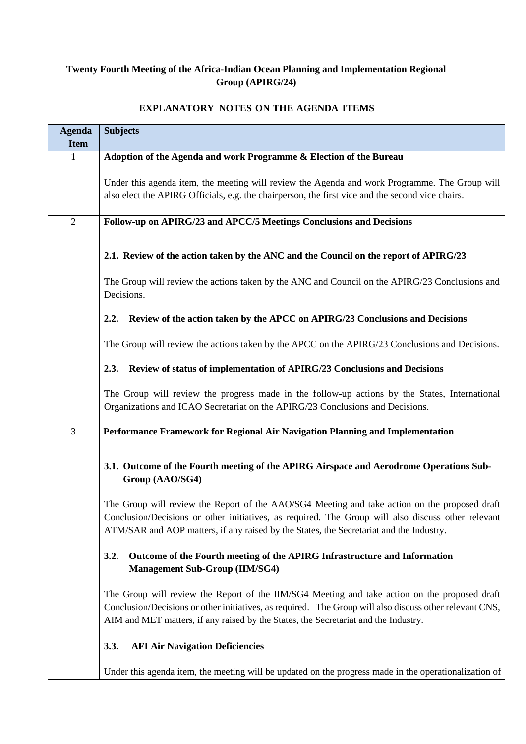# **Twenty Fourth Meeting of the Africa-Indian Ocean Planning and Implementation Regional Group (APIRG/24)**

# **Agenda Item Subjects** 1 **Adoption of the Agenda and work Programme & Election of the Bureau** Under this agenda item, the meeting will review the Agenda and work Programme. The Group will also elect the APIRG Officials, e.g. the chairperson, the first vice and the second vice chairs. 2 **Follow-up on APIRG/23 and APCC/5 Meetings Conclusions and Decisions 2.1. Review of the action taken by the ANC and the Council on the report of APIRG/23** The Group will review the actions taken by the ANC and Council on the APIRG/23 Conclusions and **Decisions 2.2. Review of the action taken by the APCC on APIRG/23 Conclusions and Decisions** The Group will review the actions taken by the APCC on the APIRG/23 Conclusions and Decisions. **2.3. Review of status of implementation of APIRG/23 Conclusions and Decisions** The Group will review the progress made in the follow-up actions by the States, International Organizations and ICAO Secretariat on the APIRG/23 Conclusions and Decisions. 3 **Performance Framework for Regional Air Navigation Planning and Implementation 3.1. Outcome of the Fourth meeting of the APIRG Airspace and Aerodrome Operations Sub-Group (AAO/SG4)** The Group will review the Report of the AAO/SG4 Meeting and take action on the proposed draft Conclusion/Decisions or other initiatives, as required. The Group will also discuss other relevant ATM/SAR and AOP matters, if any raised by the States, the Secretariat and the Industry. **3.2. Outcome of the Fourth meeting of the APIRG Infrastructure and Information Management Sub-Group (IIM/SG4)** The Group will review the Report of the IIM/SG4 Meeting and take action on the proposed draft Conclusion/Decisions or other initiatives, as required. The Group will also discuss other relevant CNS, AIM and MET matters, if any raised by the States, the Secretariat and the Industry. **3.3. AFI Air Navigation Deficiencies** Under this agenda item, the meeting will be updated on the progress made in the operationalization of

## **EXPLANATORY NOTES ON THE AGENDA ITEMS**